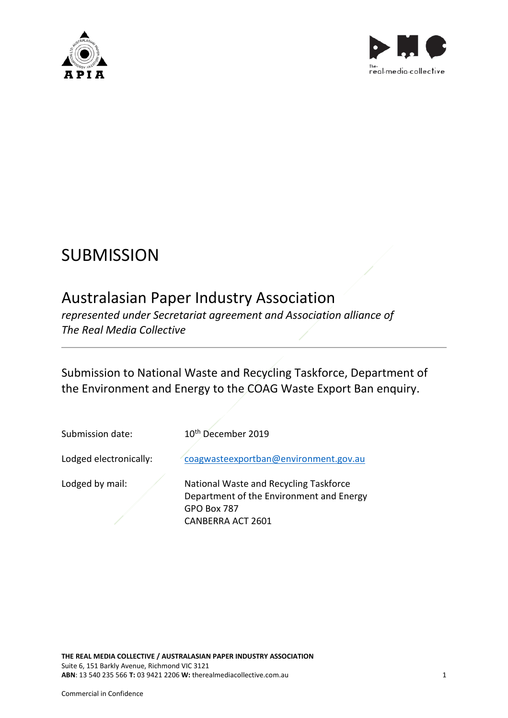



# **SUBMISSION**

## Australasian Paper Industry Association

*represented under Secretariat agreement and Association alliance of The Real Media Collective*

Submission to National Waste and Recycling Taskforce, Department of the Environment and Energy to the COAG Waste Export Ban enquiry.

Submission date: 10<sup>th</sup> December 2019 Lodged electronically: [coagwasteexportban@environment.gov.au](mailto:coagwasteexportban@environment.gov.au) Lodged by mail:  $\sqrt{N}$  National Waste and Recycling Taskforce Department of the Environment and Energy GPO Box 787

CANBERRA ACT 2601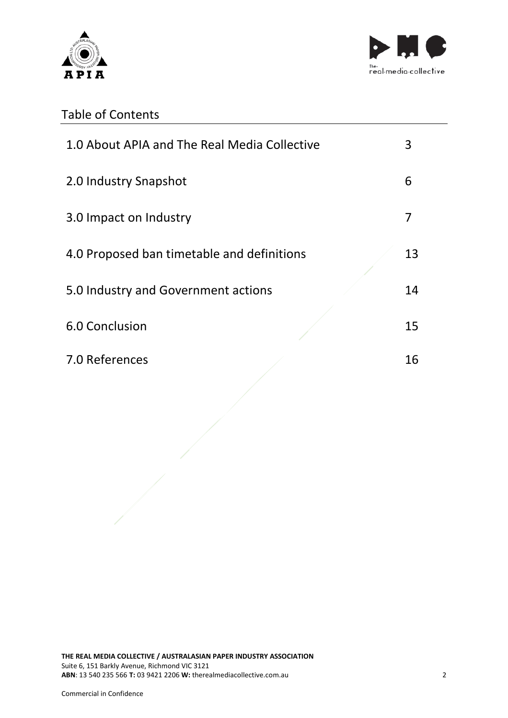



## Table of Contents

| 1.0 About APIA and The Real Media Collective | 3  |
|----------------------------------------------|----|
| 2.0 Industry Snapshot                        | 6  |
| 3.0 Impact on Industry                       | 7  |
| 4.0 Proposed ban timetable and definitions   | 13 |
| 5.0 Industry and Government actions          | 14 |
| 6.0 Conclusion                               | 15 |
| 7.0 References                               | 16 |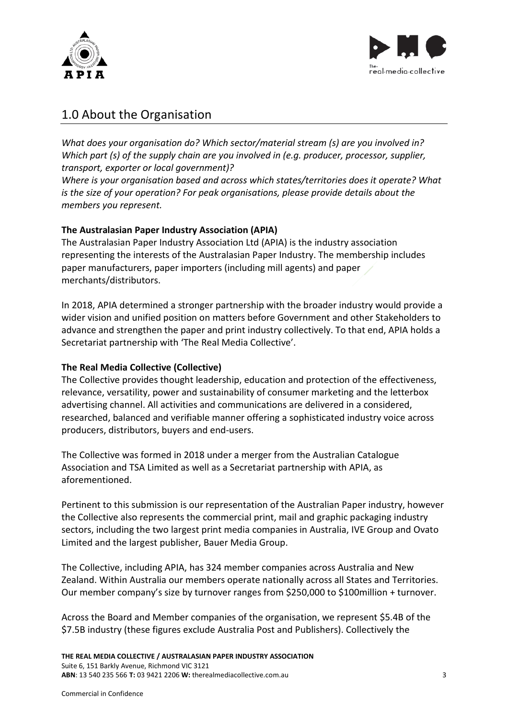



### 1.0 About the Organisation

*What does your organisation do? Which sector/material stream (s) are you involved in? Which part (s) of the supply chain are you involved in (e.g. producer, processor, supplier, transport, exporter or local government)?*

*Where is your organisation based and across which states/territories does it operate? What is the size of your operation? For peak organisations, please provide details about the members you represent.* 

#### **The Australasian Paper Industry Association (APIA)**

The Australasian Paper Industry Association Ltd (APIA) is the industry association representing the interests of the Australasian Paper Industry. The membership includes paper manufacturers, paper importers (including mill agents) and paper merchants/distributors.

In 2018, APIA determined a stronger partnership with the broader industry would provide a wider vision and unified position on matters before Government and other Stakeholders to advance and strengthen the paper and print industry collectively. To that end, APIA holds a Secretariat partnership with 'The Real Media Collective'.

#### **The Real Media Collective (Collective)**

The Collective provides thought leadership, education and protection of the effectiveness, relevance, versatility, power and sustainability of consumer marketing and the letterbox advertising channel. All activities and communications are delivered in a considered, researched, balanced and verifiable manner offering a sophisticated industry voice across producers, distributors, buyers and end-users.

The Collective was formed in 2018 under a merger from the Australian Catalogue Association and TSA Limited as well as a Secretariat partnership with APIA, as aforementioned.

Pertinent to this submission is our representation of the Australian Paper industry, however the Collective also represents the commercial print, mail and graphic packaging industry sectors, including the two largest print media companies in Australia, IVE Group and Ovato Limited and the largest publisher, Bauer Media Group.

The Collective, including APIA, has 324 member companies across Australia and New Zealand. Within Australia our members operate nationally across all States and Territories. Our member company's size by turnover ranges from \$250,000 to \$100million + turnover.

Across the Board and Member companies of the organisation, we represent \$5.4B of the \$7.5B industry (these figures exclude Australia Post and Publishers). Collectively the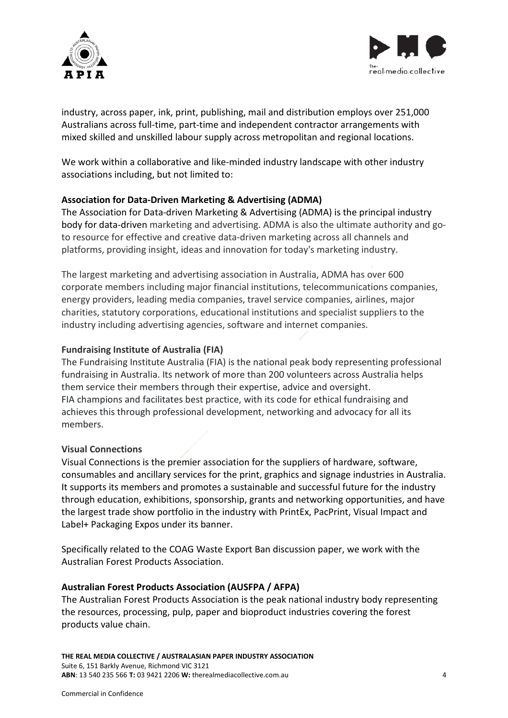



industry, across paper, ink, print, publishing, mail and distribution employs over 251,000 Australians across full-time, part-time and independent contractor arrangements with mixed skilled and unskilled labour supply across metropolitan and regional locations.

We work within a collaborative and like-minded industry landscape with other industry associations including, but not limited to:

#### **Association for Data-Driven Marketing & Advertising (ADMA)**

The Association for Data-driven Marketing & Advertising (ADMA) is the principal industry body for data-driven marketing and advertising. ADMA is also the ultimate authority and goto resource for effective and creative data-driven marketing across all channels and platforms, providing insight, ideas and innovation for today's marketing industry.

The largest marketing and advertising association in Australia, ADMA has over 600 corporate members including major financial institutions, telecommunications companies, energy providers, leading media companies, travel service companies, airlines, major charities, statutory corporations, educational institutions and specialist suppliers to the industry including advertising agencies, software and internet companies.

#### **Fundraising Institute of Australia (FIA)**

The Fundraising Institute Australia (FIA) is the national peak body representing professional fundraising in Australia. Its network of more than 200 volunteers across Australia helps them service their members through their expertise, advice and oversight. FIA champions and facilitates best practice, with its code for ethical fundraising and achieves this through professional development, networking and advocacy for all its members.

#### **Visual Connections**

Visual Connections is the premier association for the suppliers of hardware, software, consumables and ancillary services for the print, graphics and signage industries in Australia. It supports its members and promotes a sustainable and successful future for the industry through education, exhibitions, sponsorship, grants and networking opportunities, and have the largest trade show portfolio in the industry with PrintEx, PacPrint, Visual Impact and Label+ Packaging Expos under its banner.

Specifically related to the COAG Waste Export Ban discussion paper, we work with the Australian Forest Products Association.

#### **Australian Forest Products Association (AUSFPA / AFPA)**

The Australian Forest Products Association is the peak national industry body representing the resources, processing, pulp, paper and bioproduct industries covering the forest products value chain.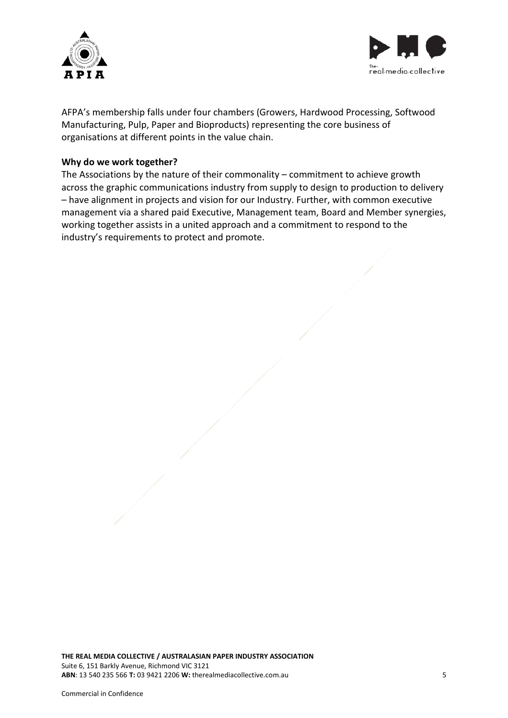



AFPA's membership falls under four chambers (Growers, Hardwood Processing, Softwood Manufacturing, Pulp, Paper and Bioproducts) representing the core business of organisations at different points in the value chain.

#### **Why do we work together?**

The Associations by the nature of their commonality – commitment to achieve growth across the graphic communications industry from supply to design to production to delivery – have alignment in projects and vision for our Industry. Further, with common executive management via a shared paid Executive, Management team, Board and Member synergies, working together assists in a united approach and a commitment to respond to the industry's requirements to protect and promote.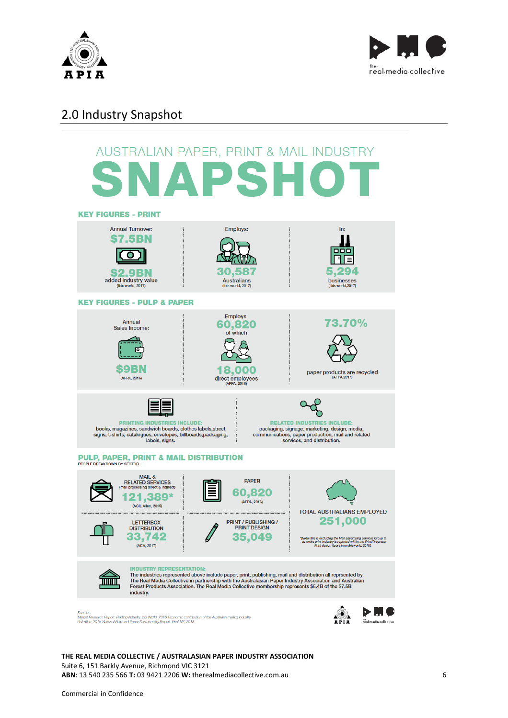



## 2.0 Industry Snapshot



**THE REAL MEDIA COLLECTIVE / AUSTRALASIAN PAPER INDUSTRY ASSOCIATION** Suite 6, 151 Barkly Avenue, Richmond VIC 3121 **ABN**: 13 540 235 566 **T:** 03 9421 2206 **W:** therealmediacollective.com.au 6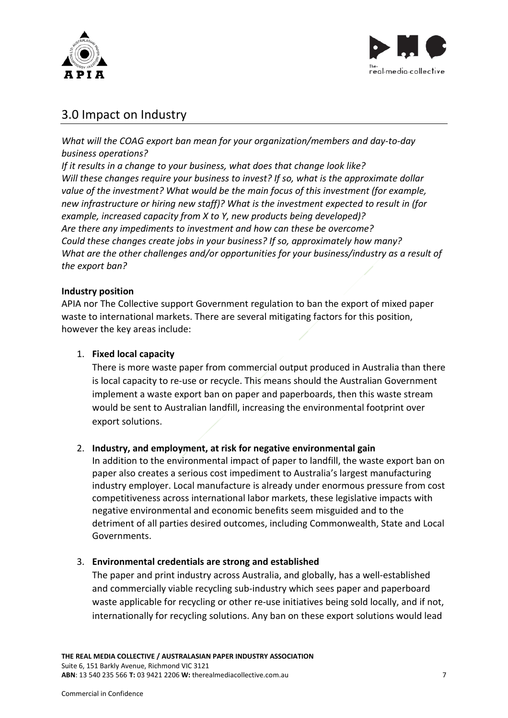



## 3.0 Impact on Industry

*What will the COAG export ban mean for your organization/members and day-to-day business operations?*

*If it results in a change to your business, what does that change look like? Will these changes require your business to invest? If so, what is the approximate dollar value of the investment? What would be the main focus of this investment (for example, new infrastructure or hiring new staff)? What is the investment expected to result in (for example, increased capacity from X to Y, new products being developed)? Are there any impediments to investment and how can these be overcome? Could these changes create jobs in your business? If so, approximately how many? What are the other challenges and/or opportunities for your business/industry as a result of the export ban?*

#### **Industry position**

APIA nor The Collective support Government regulation to ban the export of mixed paper waste to international markets. There are several mitigating factors for this position, however the key areas include:

#### 1. **Fixed local capacity**

There is more waste paper from commercial output produced in Australia than there is local capacity to re-use or recycle. This means should the Australian Government implement a waste export ban on paper and paperboards, then this waste stream would be sent to Australian landfill, increasing the environmental footprint over export solutions.

#### 2. **Industry, and employment, at risk for negative environmental gain**

In addition to the environmental impact of paper to landfill, the waste export ban on paper also creates a serious cost impediment to Australia's largest manufacturing industry employer. Local manufacture is already under enormous pressure from cost competitiveness across international labor markets, these legislative impacts with negative environmental and economic benefits seem misguided and to the detriment of all parties desired outcomes, including Commonwealth, State and Local Governments.

#### 3. **Environmental credentials are strong and established**

The paper and print industry across Australia, and globally, has a well-established and commercially viable recycling sub-industry which sees paper and paperboard waste applicable for recycling or other re-use initiatives being sold locally, and if not, internationally for recycling solutions. Any ban on these export solutions would lead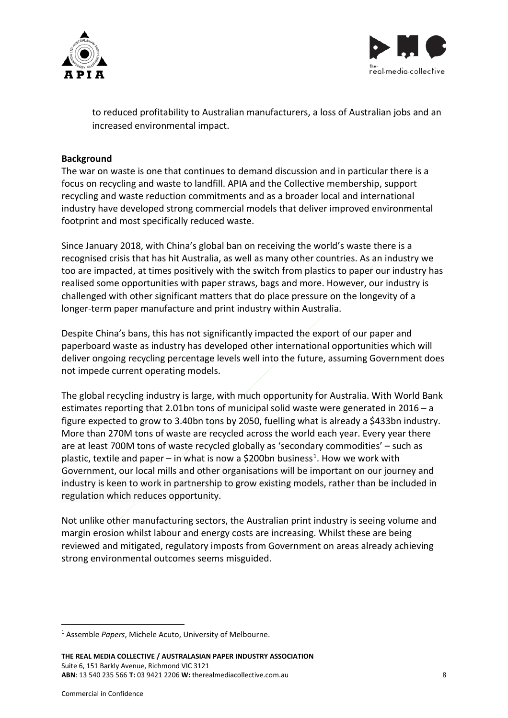



to reduced profitability to Australian manufacturers, a loss of Australian jobs and an increased environmental impact.

#### **Background**

The war on waste is one that continues to demand discussion and in particular there is a focus on recycling and waste to landfill. APIA and the Collective membership, support recycling and waste reduction commitments and as a broader local and international industry have developed strong commercial models that deliver improved environmental footprint and most specifically reduced waste.

Since January 2018, with China's global ban on receiving the world's waste there is a recognised crisis that has hit Australia, as well as many other countries. As an industry we too are impacted, at times positively with the switch from plastics to paper our industry has realised some opportunities with paper straws, bags and more. However, our industry is challenged with other significant matters that do place pressure on the longevity of a longer-term paper manufacture and print industry within Australia.

Despite China's bans, this has not significantly impacted the export of our paper and paperboard waste as industry has developed other international opportunities which will deliver ongoing recycling percentage levels well into the future, assuming Government does not impede current operating models.

The global recycling industry is large, with much opportunity for Australia. With World Bank estimates reporting that 2.01bn tons of municipal solid waste were generated in 2016 – a figure expected to grow to 3.40bn tons by 2050, fuelling what is already a \$433bn industry. More than 270M tons of waste are recycled across the world each year. Every year there are at least 700M tons of waste recycled globally as 'secondary commodities' – such as plastic, textile and paper – in what is now a \$200bn business<sup>[1](#page-7-0)</sup>. How we work with Government, our local mills and other organisations will be important on our journey and industry is keen to work in partnership to grow existing models, rather than be included in regulation which reduces opportunity.

Not unlike other manufacturing sectors, the Australian print industry is seeing volume and margin erosion whilst labour and energy costs are increasing. Whilst these are being reviewed and mitigated, regulatory imposts from Government on areas already achieving strong environmental outcomes seems misguided.

<span id="page-7-0"></span><sup>1</sup> Assemble *Papers*, Michele Acuto, University of Melbourne.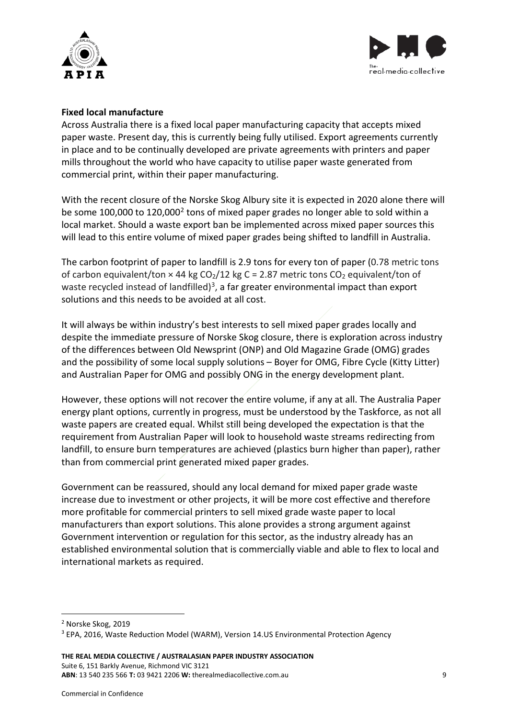



#### **Fixed local manufacture**

Across Australia there is a fixed local paper manufacturing capacity that accepts mixed paper waste. Present day, this is currently being fully utilised. Export agreements currently in place and to be continually developed are private agreements with printers and paper mills throughout the world who have capacity to utilise paper waste generated from commercial print, within their paper manufacturing.

With the recent closure of the Norske Skog Albury site it is expected in 2020 alone there will be some 100,000 to 1[2](#page-8-0)0,000<sup>2</sup> tons of mixed paper grades no longer able to sold within a local market. Should a waste export ban be implemented across mixed paper sources this will lead to this entire volume of mixed paper grades being shifted to landfill in Australia.

The carbon footprint of paper to landfill is 2.9 tons for every ton of paper (0.78 metric tons of carbon equivalent/ton  $\times$  44 kg CO<sub>2</sub>/12 kg C = 2.87 metric tons CO<sub>2</sub> equivalent/ton of waste recycled instead of landfilled)<sup>3</sup>, a far greater environmental impact than export solutions and this needs to be avoided at all cost.

It will always be within industry's best interests to sell mixed paper grades locally and despite the immediate pressure of Norske Skog closure, there is exploration across industry of the differences between Old Newsprint (ONP) and Old Magazine Grade (OMG) grades and the possibility of some local supply solutions – Boyer for OMG, Fibre Cycle (Kitty Litter) and Australian Paper for OMG and possibly ONG in the energy development plant.

However, these options will not recover the entire volume, if any at all. The Australia Paper energy plant options, currently in progress, must be understood by the Taskforce, as not all waste papers are created equal. Whilst still being developed the expectation is that the requirement from Australian Paper will look to household waste streams redirecting from landfill, to ensure burn temperatures are achieved (plastics burn higher than paper), rather than from commercial print generated mixed paper grades.

Government can be reassured, should any local demand for mixed paper grade waste increase due to investment or other projects, it will be more cost effective and therefore more profitable for commercial printers to sell mixed grade waste paper to local manufacturers than export solutions. This alone provides a strong argument against Government intervention or regulation for this sector, as the industry already has an established environmental solution that is commercially viable and able to flex to local and international markets as required.

<span id="page-8-0"></span><sup>2</sup> Norske Skog, 2019

<span id="page-8-1"></span><sup>&</sup>lt;sup>3</sup> EPA, 2016, Waste Reduction Model (WARM), Version 14.US Environmental Protection Agency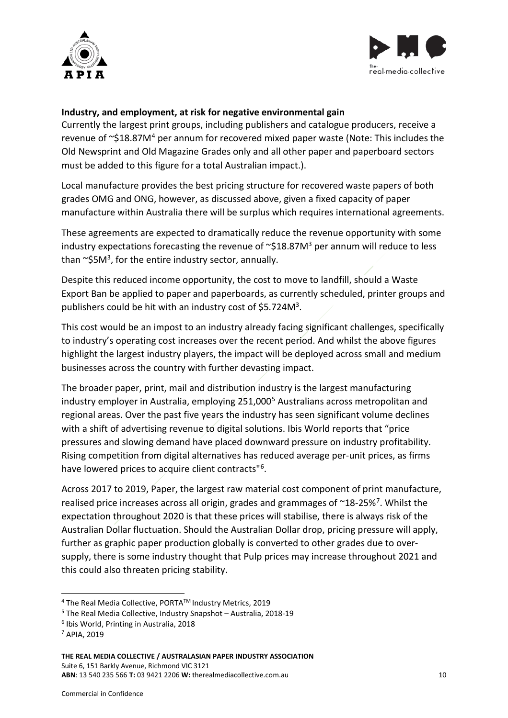



#### **Industry, and employment, at risk for negative environmental gain**

Currently the largest print groups, including publishers and catalogue producers, receive a revenue of  $\sim$ \$18.87M<sup>[4](#page-9-0)</sup> per annum for recovered mixed paper waste (Note: This includes the Old Newsprint and Old Magazine Grades only and all other paper and paperboard sectors must be added to this figure for a total Australian impact.).

Local manufacture provides the best pricing structure for recovered waste papers of both grades OMG and ONG, however, as discussed above, given a fixed capacity of paper manufacture within Australia there will be surplus which requires international agreements.

These agreements are expected to dramatically reduce the revenue opportunity with some industry expectations forecasting the revenue of  $\sim$ \$18.87M<sup>3</sup> per annum will reduce to less than  $\sim$ \$5M<sup>3</sup>, for the entire industry sector, annually.

Despite this reduced income opportunity, the cost to move to landfill, should a Waste Export Ban be applied to paper and paperboards, as currently scheduled, printer groups and publishers could be hit with an industry cost of \$5.724M3.

This cost would be an impost to an industry already facing significant challenges, specifically to industry's operating cost increases over the recent period. And whilst the above figures highlight the largest industry players, the impact will be deployed across small and medium businesses across the country with further devasting impact.

The broader paper, print, mail and distribution industry is the largest manufacturing industry employer in Australia, employing 2[5](#page-9-1)1,000<sup>5</sup> Australians across metropolitan and regional areas. Over the past five years the industry has seen significant volume declines with a shift of advertising revenue to digital solutions. Ibis World reports that "price pressures and slowing demand have placed downward pressure on industry profitability. Rising competition from digital alternatives has reduced average per-unit prices, as firms have lowered prices to acquire client contracts"[6](#page-9-2).

Across 2017 to 2019, Paper, the largest raw material cost component of print manufacture, realised price increases across all origin, grades and grammages of  $\gamma$ 18-25%<sup>7</sup>. Whilst the expectation throughout 2020 is that these prices will stabilise, there is always risk of the Australian Dollar fluctuation. Should the Australian Dollar drop, pricing pressure will apply, further as graphic paper production globally is converted to other grades due to oversupply, there is some industry thought that Pulp prices may increase throughout 2021 and this could also threaten pricing stability.

<span id="page-9-0"></span><sup>&</sup>lt;sup>4</sup> The Real Media Collective, PORTA<sup>™</sup> Industry Metrics, 2019

<span id="page-9-1"></span><sup>5</sup> The Real Media Collective, Industry Snapshot – Australia, 2018-19

<span id="page-9-2"></span><sup>6</sup> Ibis World, Printing in Australia, 2018

<span id="page-9-3"></span><sup>7</sup> APIA, 2019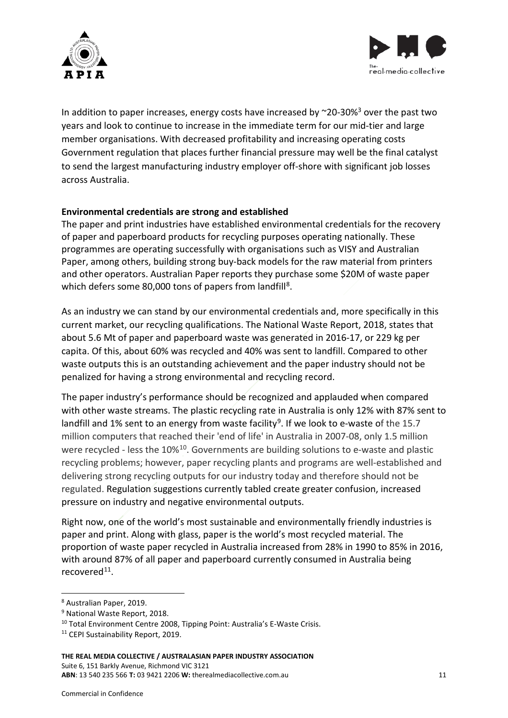



In addition to paper increases, energy costs have increased by  $\sim$ 20-30%<sup>3</sup> over the past two years and look to continue to increase in the immediate term for our mid-tier and large member organisations. With decreased profitability and increasing operating costs Government regulation that places further financial pressure may well be the final catalyst to send the largest manufacturing industry employer off-shore with significant job losses across Australia.

#### **Environmental credentials are strong and established**

The paper and print industries have established environmental credentials for the recovery of paper and paperboard products for recycling purposes operating nationally. These programmes are operating successfully with organisations such as VISY and Australian Paper, among others, building strong buy-back models for the raw material from printers and other operators. Australian Paper reports they purchase some \$20M of waste paper which defers some [8](#page-10-0)0,000 tons of papers from landfill<sup>8</sup>.

As an industry we can stand by our environmental credentials and, more specifically in this current market, our recycling qualifications. The National Waste Report, 2018, states that about 5.6 Mt of paper and paperboard waste was generated in 2016-17, or 229 kg per capita. Of this, about 60% was recycled and 40% was sent to landfill. Compared to other waste outputs this is an outstanding achievement and the paper industry should not be penalized for having a strong environmental and recycling record.

The paper industry's performance should be recognized and applauded when compared with other waste streams. The plastic recycling rate in Australia is only 12% with 87% sent to landfill and 1% sent to an energy from waste facility<sup>[9](#page-10-1)</sup>. If we look to e-waste of the 15.7 million computers that reached their 'end of life' in Australia in 2007-08, only 1.5 million were recycled - less the 10%<sup>10</sup>. Governments are building solutions to e-waste and plastic recycling problems; however, paper recycling plants and programs are well-established and delivering strong recycling outputs for our industry today and therefore should not be regulated. Regulation suggestions currently tabled create greater confusion, increased pressure on industry and negative environmental outputs.

Right now, one of the world's most sustainable and environmentally friendly industries is paper and print. Along with glass, paper is the world's most recycled material. The proportion of waste paper recycled in Australia increased from 28% in 1990 to 85% in 2016, with around 87% of all paper and paperboard currently consumed in Australia being recovered<sup>[11](#page-10-3)</sup>.

**THE REAL MEDIA COLLECTIVE / AUSTRALASIAN PAPER INDUSTRY ASSOCIATION** Suite 6, 151 Barkly Avenue, Richmond VIC 3121 **ABN**: 13 540 235 566 **T:** 03 9421 2206 **W:** therealmediacollective.com.au 11

<span id="page-10-0"></span><sup>8</sup> Australian Paper, 2019.

<span id="page-10-1"></span><sup>9</sup> National Waste Report, 2018.

<span id="page-10-2"></span><sup>10</sup> Total Environment Centre 2008, Tipping Point: Australia's E-Waste Crisis.

<span id="page-10-3"></span><sup>&</sup>lt;sup>11</sup> CEPI Sustainability Report, 2019.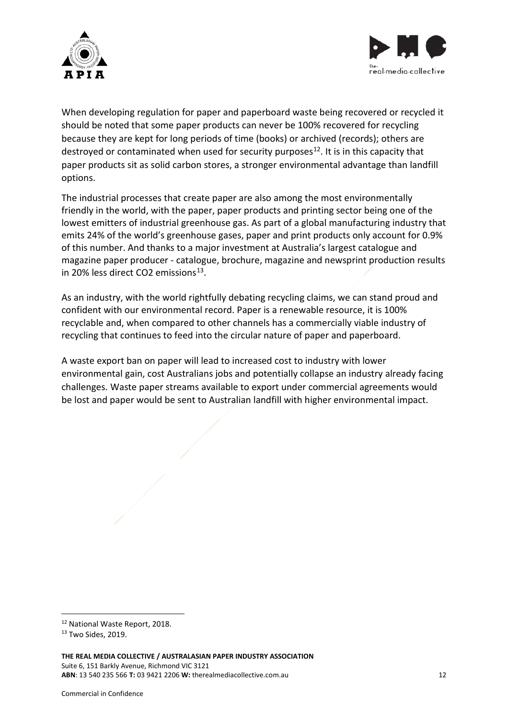



When developing regulation for paper and paperboard waste being recovered or recycled it should be noted that some paper products can never be 100% recovered for recycling because they are kept for long periods of time (books) or archived (records); others are destroyed or contaminated when used for security purposes<sup>[12](#page-11-0)</sup>. It is in this capacity that paper products sit as solid carbon stores, a stronger environmental advantage than landfill options.

The industrial processes that create paper are also among the most environmentally friendly in the world, with the paper, paper products and printing sector being one of the lowest emitters of industrial greenhouse gas. As part of a global manufacturing industry that emits 24% of the world's greenhouse gases, paper and print products only account for 0.9% of this number. And thanks to a major investment at Australia's largest catalogue and magazine paper producer - catalogue, brochure, magazine and newsprint production results in 20% less direct CO2 emissions $13$ .

As an industry, with the world rightfully debating recycling claims, we can stand proud and confident with our environmental record. Paper is a renewable resource, it is 100% recyclable and, when compared to other channels has a commercially viable industry of recycling that continues to feed into the circular nature of paper and paperboard.

A waste export ban on paper will lead to increased cost to industry with lower environmental gain, cost Australians jobs and potentially collapse an industry already facing challenges. Waste paper streams available to export under commercial agreements would be lost and paper would be sent to Australian landfill with higher environmental impact.

<span id="page-11-0"></span><sup>12</sup> National Waste Report, 2018.

<span id="page-11-1"></span><sup>13</sup> Two Sides, 2019.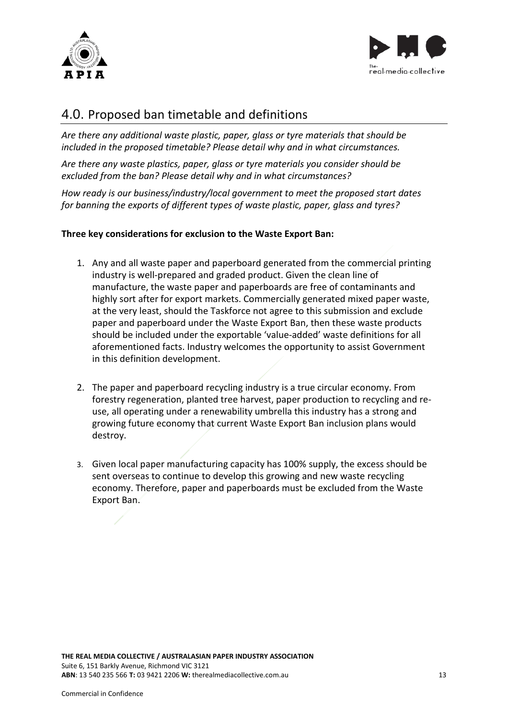



## 4.0. Proposed ban timetable and definitions

*Are there any additional waste plastic, paper, glass or tyre materials that should be included in the proposed timetable? Please detail why and in what circumstances.*

*Are there any waste plastics, paper, glass or tyre materials you consider should be excluded from the ban? Please detail why and in what circumstances?*

*How ready is our business/industry/local government to meet the proposed start dates for banning the exports of different types of waste plastic, paper, glass and tyres?*

#### **Three key considerations for exclusion to the Waste Export Ban:**

- 1. Any and all waste paper and paperboard generated from the commercial printing industry is well-prepared and graded product. Given the clean line of manufacture, the waste paper and paperboards are free of contaminants and highly sort after for export markets. Commercially generated mixed paper waste, at the very least, should the Taskforce not agree to this submission and exclude paper and paperboard under the Waste Export Ban, then these waste products should be included under the exportable 'value-added' waste definitions for all aforementioned facts. Industry welcomes the opportunity to assist Government in this definition development.
- 2. The paper and paperboard recycling industry is a true circular economy. From forestry regeneration, planted tree harvest, paper production to recycling and reuse, all operating under a renewability umbrella this industry has a strong and growing future economy that current Waste Export Ban inclusion plans would destroy.
- 3. Given local paper manufacturing capacity has 100% supply, the excess should be sent overseas to continue to develop this growing and new waste recycling economy. Therefore, paper and paperboards must be excluded from the Waste Export Ban.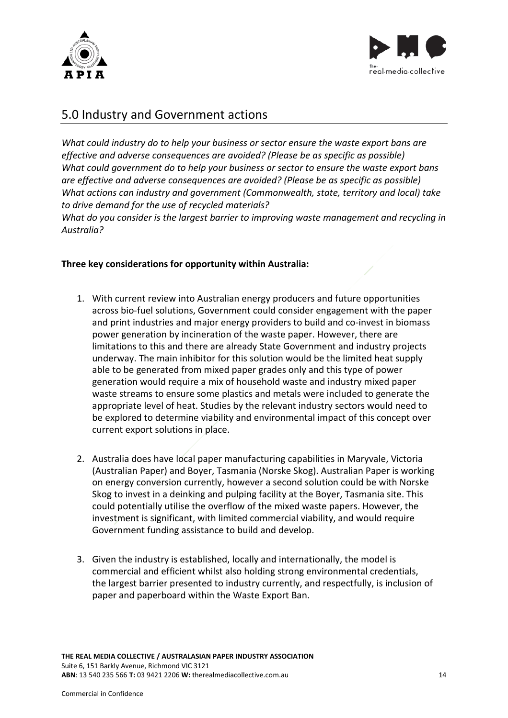



## 5.0 Industry and Government actions

*What could industry do to help your business or sector ensure the waste export bans are effective and adverse consequences are avoided? (Please be as specific as possible) What could government do to help your business or sector to ensure the waste export bans are effective and adverse consequences are avoided? (Please be as specific as possible) What actions can industry and government (Commonwealth, state, territory and local) take to drive demand for the use of recycled materials?*

*What do you consider is the largest barrier to improving waste management and recycling in Australia?*

#### **Three key considerations for opportunity within Australia:**

- 1. With current review into Australian energy producers and future opportunities across bio-fuel solutions, Government could consider engagement with the paper and print industries and major energy providers to build and co-invest in biomass power generation by incineration of the waste paper. However, there are limitations to this and there are already State Government and industry projects underway. The main inhibitor for this solution would be the limited heat supply able to be generated from mixed paper grades only and this type of power generation would require a mix of household waste and industry mixed paper waste streams to ensure some plastics and metals were included to generate the appropriate level of heat. Studies by the relevant industry sectors would need to be explored to determine viability and environmental impact of this concept over current export solutions in place.
- 2. Australia does have local paper manufacturing capabilities in Maryvale, Victoria (Australian Paper) and Boyer, Tasmania (Norske Skog). Australian Paper is working on energy conversion currently, however a second solution could be with Norske Skog to invest in a deinking and pulping facility at the Boyer, Tasmania site. This could potentially utilise the overflow of the mixed waste papers. However, the investment is significant, with limited commercial viability, and would require Government funding assistance to build and develop.
- 3. Given the industry is established, locally and internationally, the model is commercial and efficient whilst also holding strong environmental credentials, the largest barrier presented to industry currently, and respectfully, is inclusion of paper and paperboard within the Waste Export Ban.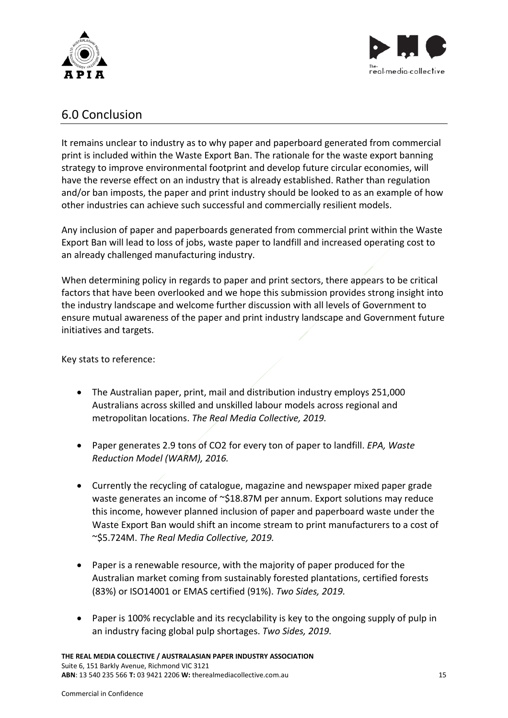



### 6.0 Conclusion

It remains unclear to industry as to why paper and paperboard generated from commercial print is included within the Waste Export Ban. The rationale for the waste export banning strategy to improve environmental footprint and develop future circular economies, will have the reverse effect on an industry that is already established. Rather than regulation and/or ban imposts, the paper and print industry should be looked to as an example of how other industries can achieve such successful and commercially resilient models.

Any inclusion of paper and paperboards generated from commercial print within the Waste Export Ban will lead to loss of jobs, waste paper to landfill and increased operating cost to an already challenged manufacturing industry.

When determining policy in regards to paper and print sectors, there appears to be critical factors that have been overlooked and we hope this submission provides strong insight into the industry landscape and welcome further discussion with all levels of Government to ensure mutual awareness of the paper and print industry landscape and Government future initiatives and targets.

Key stats to reference:

- The Australian paper, print, mail and distribution industry employs 251,000 Australians across skilled and unskilled labour models across regional and metropolitan locations. *The Real Media Collective, 2019.*
- Paper generates 2.9 tons of CO2 for every ton of paper to landfill. *EPA, Waste Reduction Model (WARM), 2016.*
- Currently the recycling of catalogue, magazine and newspaper mixed paper grade waste generates an income of ~\$18.87M per annum. Export solutions may reduce this income, however planned inclusion of paper and paperboard waste under the Waste Export Ban would shift an income stream to print manufacturers to a cost of ~\$5.724M. *The Real Media Collective, 2019.*
- Paper is a renewable resource, with the majority of paper produced for the Australian market coming from sustainably forested plantations, certified forests (83%) or ISO14001 or EMAS certified (91%). *Two Sides, 2019.*
- Paper is 100% recyclable and its recyclability is key to the ongoing supply of pulp in an industry facing global pulp shortages. *Two Sides, 2019.*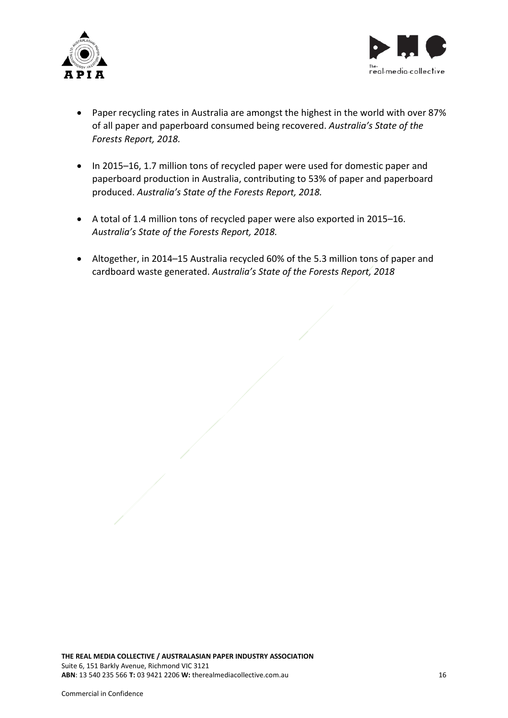



- Paper recycling rates in Australia are amongst the highest in the world with over 87% of all paper and paperboard consumed being recovered. *Australia's State of the Forests Report, 2018.*
- In 2015–16, 1.7 million tons of recycled paper were used for domestic paper and paperboard production in Australia, contributing to 53% of paper and paperboard produced. *Australia's State of the Forests Report, 2018.*
- A total of 1.4 million tons of recycled paper were also exported in 2015–16. *Australia's State of the Forests Report, 2018.*
- Altogether, in 2014–15 Australia recycled 60% of the 5.3 million tons of paper and cardboard waste generated. *Australia's State of the Forests Report, 2018*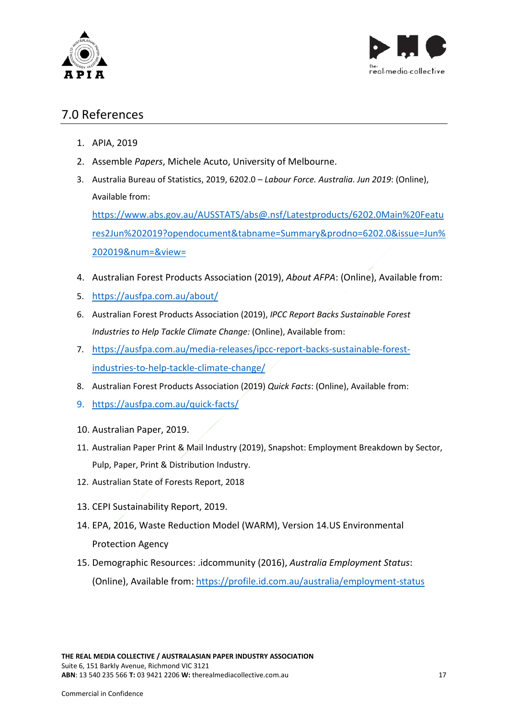



## 7.0 References

- 1. APIA, 2019
- 2. Assemble *Papers*, Michele Acuto, University of Melbourne.
- 3. Australia Bureau of Statistics, 2019, 6202.0 *Labour Force. Australia. Jun 2019*: (Online), Available from:

[https://www.abs.gov.au/AUSSTATS/abs@.nsf/Latestproducts/6202.0Main%20Featu](https://www.abs.gov.au/AUSSTATS/abs@.nsf/Latestproducts/6202.0Main%20Features2Jun%202019?opendocument&tabname=Summary&prodno=6202.0&issue=Jun%202019&num=&view=) [res2Jun%202019?opendocument&tabname=Summary&prodno=6202.0&issue=Jun%](https://www.abs.gov.au/AUSSTATS/abs@.nsf/Latestproducts/6202.0Main%20Features2Jun%202019?opendocument&tabname=Summary&prodno=6202.0&issue=Jun%202019&num=&view=) [202019&num=&view=](https://www.abs.gov.au/AUSSTATS/abs@.nsf/Latestproducts/6202.0Main%20Features2Jun%202019?opendocument&tabname=Summary&prodno=6202.0&issue=Jun%202019&num=&view=)

- 4. Australian Forest Products Association (2019), *About AFPA*: (Online), Available from:
- 5. <https://ausfpa.com.au/about/>
- 6. Australian Forest Products Association (2019), *IPCC Report Backs Sustainable Forest Industries to Help Tackle Climate Change:* (Online), Available from:
- 7. [https://ausfpa.com.au/media-releases/ipcc-report-backs-sustainable-forest](https://ausfpa.com.au/media-releases/ipcc-report-backs-sustainable-forest-industries-to-help-tackle-climate-change/)[industries-to-help-tackle-climate-change/](https://ausfpa.com.au/media-releases/ipcc-report-backs-sustainable-forest-industries-to-help-tackle-climate-change/)
- 8. Australian Forest Products Association (2019) *Quick Facts*: (Online), Available from:
- 9. <https://ausfpa.com.au/quick-facts/>
- 10. Australian Paper, 2019.
- 11. Australian Paper Print & Mail Industry (2019), Snapshot: Employment Breakdown by Sector, Pulp, Paper, Print & Distribution Industry.
- 12. Australian State of Forests Report, 2018
- 13. CEPI Sustainability Report, 2019.
- 14. EPA, 2016, Waste Reduction Model (WARM), Version 14.US Environmental Protection Agency
- 15. Demographic Resources: .idcommunity (2016), *Australia Employment Status*: (Online), Available from:<https://profile.id.com.au/australia/employment-status>